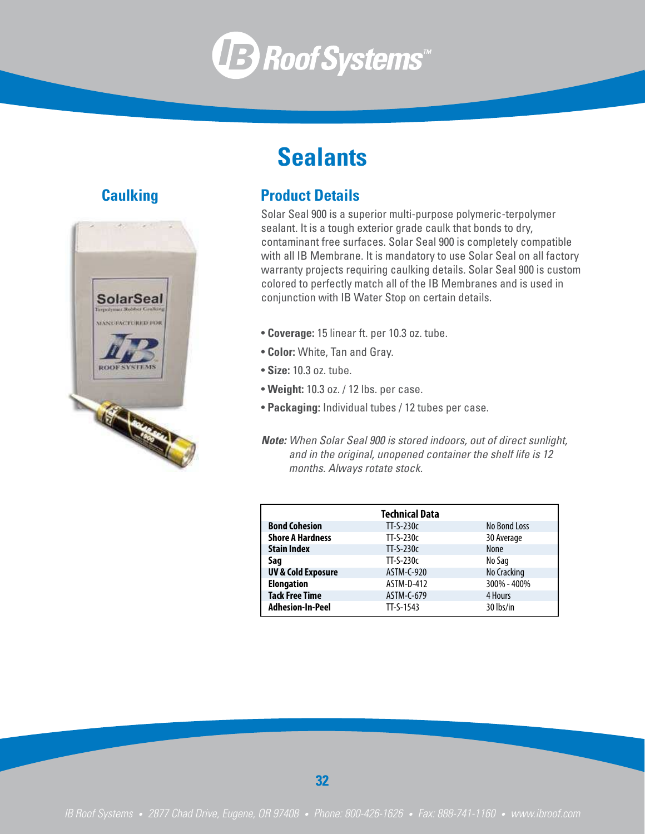# **IB Roof Systems™**

## **Sealants**

### **Caulking Product Details**

Solar Seal 900 is a superior multi-purpose polymeric-terpolymer sealant. It is a tough exterior grade caulk that bonds to dry, contaminant free surfaces. Solar Seal 900 is completely compatible with all IB Membrane. It is mandatory to use Solar Seal on all factory warranty projects requiring caulking details. Solar Seal 900 is custom colored to perfectly match all of the IB Membranes and is used in conjunction with IB Water Stop on certain details.

- **Coverage:** 15 linear ft. per 10.3 oz. tube.
- Color: White, Tan and Gray.
- Size: 10.3 oz. tube.
- Weight: 10.3 oz. / 12 lbs. per case.
- **Packaging:** Individual tubes / 12 tubes per case.

**Note:** When Solar Seal 900 is stored indoors, out of direct sunlight, and in the original, unopened container the shelf life is 12 months. Always rotate stock.

| <b>Technical Data</b>         |             |              |  |  |  |  |
|-------------------------------|-------------|--------------|--|--|--|--|
| <b>Bond Cohesion</b>          | $TI-S-230c$ | No Bond Loss |  |  |  |  |
| <b>Shore A Hardness</b>       | $TI-S-230c$ | 30 Average   |  |  |  |  |
| <b>Stain Index</b>            | $TI-S-230c$ | <b>None</b>  |  |  |  |  |
| Saq                           | $TI-S-230c$ | No Sag       |  |  |  |  |
| <b>UV &amp; Cold Exposure</b> | ASTM-C-920  | No Cracking  |  |  |  |  |
| <b>Elongation</b>             | ASTM-D-412  | 300% - 400%  |  |  |  |  |
| <b>Tack Free Time</b>         | ASTM-C-679  | 4 Hours      |  |  |  |  |
| <b>Adhesion-In-Peel</b>       | $TI-S-1543$ | 30 lbs/in    |  |  |  |  |